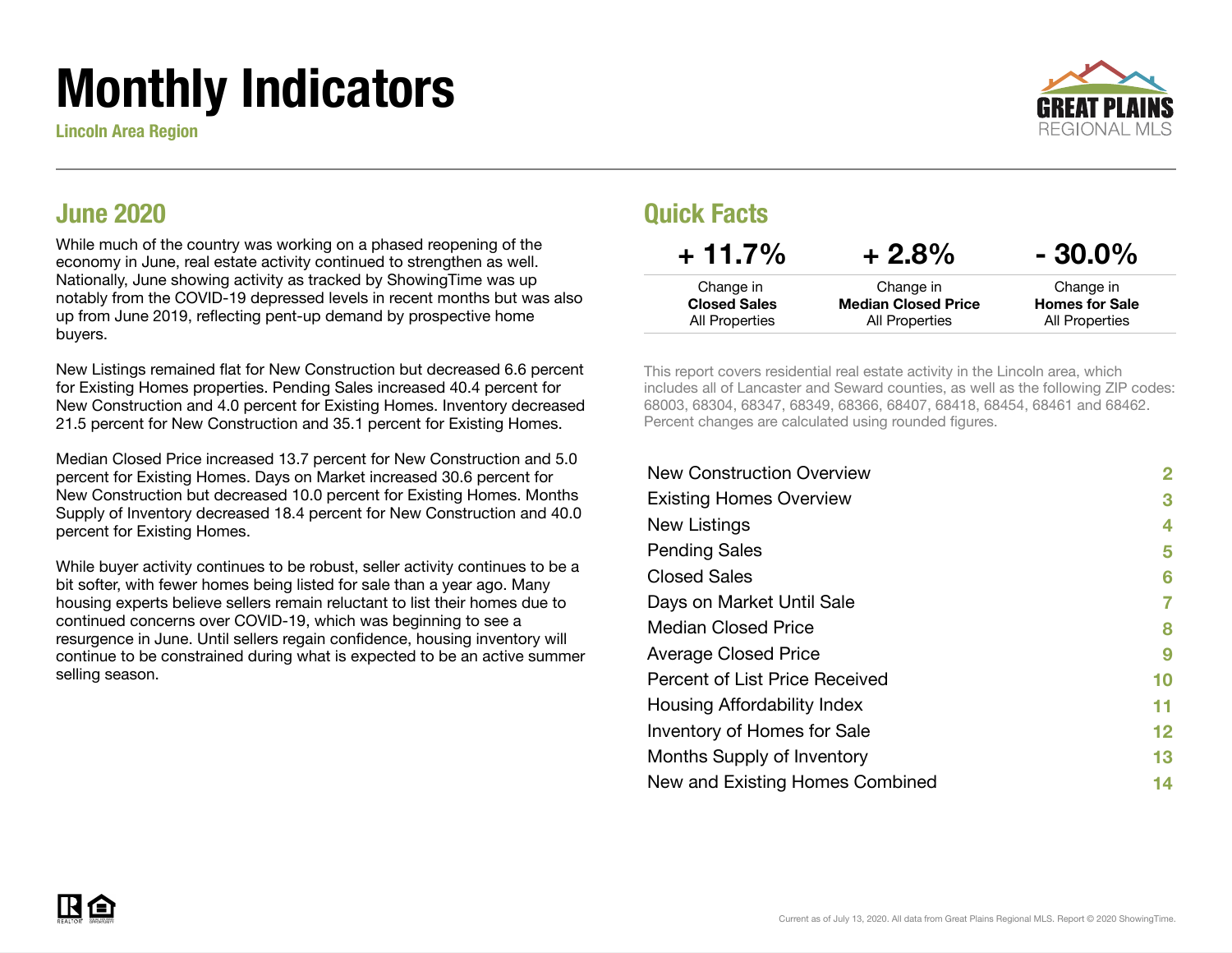# Monthly Indicators

Lincoln Area Region



#### June 2020

While much of the country was working on a phased reopening of the economy in June, real estate activity continued to strengthen as well. Nationally, June showing activity as tracked by ShowingTime was up notably from the COVID-19 depressed levels in recent months but was also up from June 2019, reflecting pent-up demand by prospective home buyers.

New Listings remained flat for New Construction but decreased 6.6 percent for Existing Homes properties. Pending Sales increased 40.4 percent for New Construction and 4.0 percent for Existing Homes. Inventory decreased 21.5 percent for New Construction and 35.1 percent for Existing Homes.

Median Closed Price increased 13.7 percent for New Construction and 5.0 percent for Existing Homes. Days on Market increased 30.6 percent for New Construction but decreased 10.0 percent for Existing Homes. Months Supply of Inventory decreased 18.4 percent for New Construction and 40.0 percent for Existing Homes.

While buyer activity continues to be robust, seller activity continues to be a bit softer, with fewer homes being listed for sale than a year ago. Many housing experts believe sellers remain reluctant to list their homes due to continued concerns over COVID-19, which was beginning to see a resurgence in June. Until sellers regain confidence, housing inventory will continue to be constrained during what is expected to be an active summer selling season.

#### Quick Facts

| $+11.7\%$           | $+2.8%$                    | $-30.0\%$             |
|---------------------|----------------------------|-----------------------|
| Change in           | Change in                  | Change in             |
| <b>Closed Sales</b> | <b>Median Closed Price</b> | <b>Homes for Sale</b> |
| All Properties      | All Properties             | All Properties        |

This report covers residential real estate activity in the Lincoln area, which includes all of Lancaster and Seward counties, as well as the following ZIP codes: 68003, 68304, 68347, 68349, 68366, 68407, 68418, 68454, 68461 and 68462. Percent changes are calculated using rounded figures.

| <b>New Construction Overview</b> | 2  |
|----------------------------------|----|
| <b>Existing Homes Overview</b>   | 3  |
| New Listings                     | 4  |
| <b>Pending Sales</b>             | 5  |
| <b>Closed Sales</b>              | 6  |
| Days on Market Until Sale        | 7  |
| Median Closed Price              | 8  |
| <b>Average Closed Price</b>      | 9  |
| Percent of List Price Received   | 10 |
| Housing Affordability Index      | 11 |
| Inventory of Homes for Sale      | 12 |
| Months Supply of Inventory       | 13 |
| New and Existing Homes Combined  | 14 |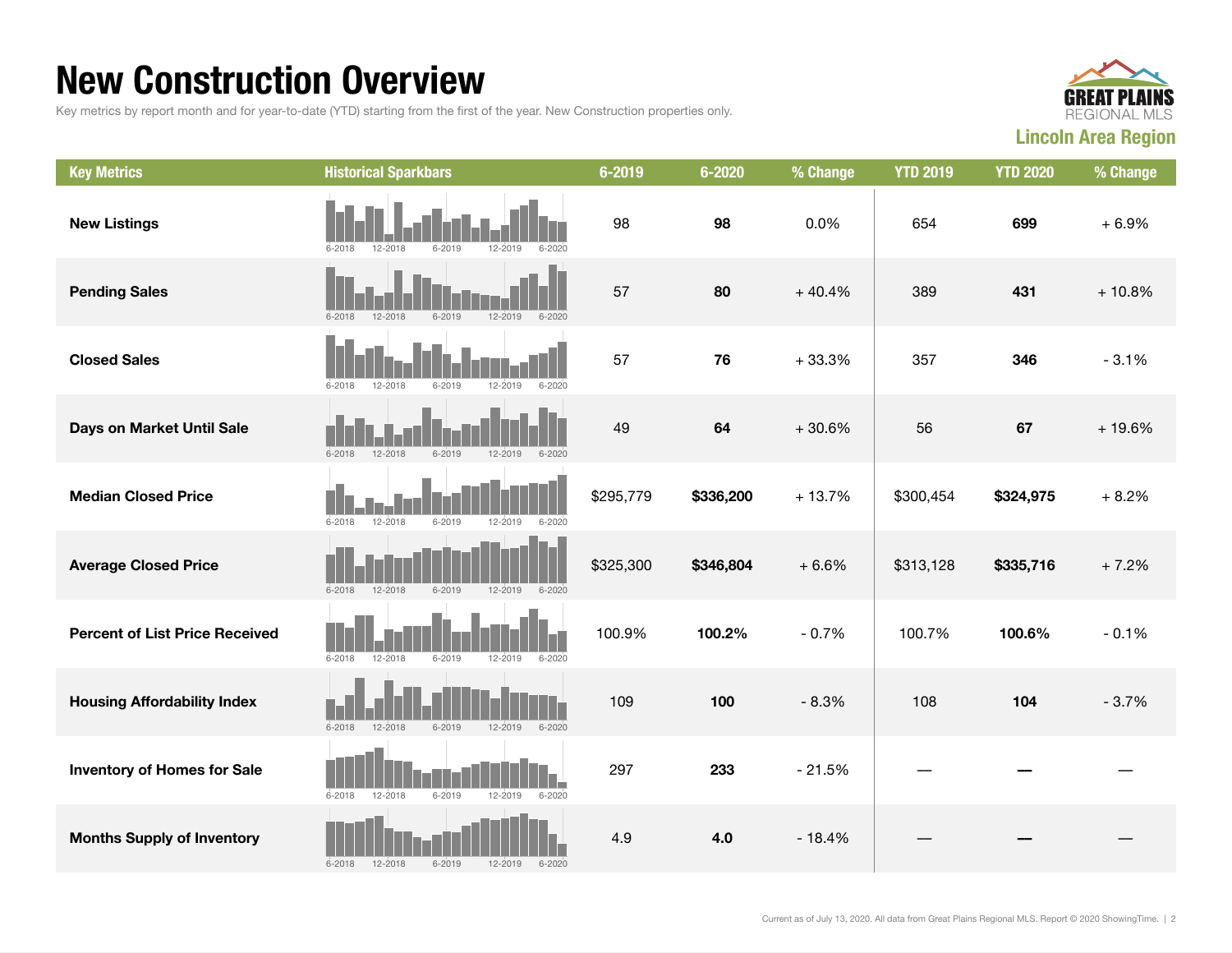### New Construction Overview

Key metrics by report month and for year-to-date (YTD) starting from the first of the year. New Construction properties only.



| <b>Key Metrics</b>                    | <b>Historical Sparkbars</b>                                      | 6-2019    | $6 - 2020$ | % Change | <b>YTD 2019</b> | <b>YTD 2020</b> | % Change |
|---------------------------------------|------------------------------------------------------------------|-----------|------------|----------|-----------------|-----------------|----------|
| <b>New Listings</b>                   | 6-2018<br>12-2018<br>6-2019<br>12-2019<br>$6 - 2020$             | 98        | 98         | 0.0%     | 654             | 699             | $+6.9%$  |
| <b>Pending Sales</b>                  | $6 - 2019$<br>12-2019<br>$6 - 2018$<br>$12 - 2018$<br>$6 - 2020$ | 57        | 80         | $+40.4%$ | 389             | 431             | $+10.8%$ |
| <b>Closed Sales</b>                   | $6 - 2018$<br>12-2018<br>$6 - 2019$<br>12-2019<br>$6 - 2020$     | 57        | 76         | $+33.3%$ | 357             | 346             | $-3.1%$  |
| Days on Market Until Sale             | $6 - 2019$<br>12-2019<br>$6 - 2020$<br>$6 - 2018$<br>12-2018     | 49        | 64         | $+30.6%$ | 56              | 67              | $+19.6%$ |
| <b>Median Closed Price</b>            | $6 - 2018$<br>12-2018<br>$6 - 2019$<br>12-2019<br>$6 - 2020$     | \$295,779 | \$336,200  | $+13.7%$ | \$300,454       | \$324,975       | $+8.2%$  |
| <b>Average Closed Price</b>           | $6 - 2019$<br>$6 - 2018$<br>12-2018<br>12-2019<br>$6 - 2020$     | \$325,300 | \$346,804  | $+6.6%$  | \$313,128       | \$335,716       | $+7.2%$  |
| <b>Percent of List Price Received</b> | $6 - 2018$<br>$12 - 2018$<br>$6 - 2019$<br>12-2019<br>$6 - 2020$ | 100.9%    | 100.2%     | $-0.7%$  | 100.7%          | 100.6%          | $-0.1%$  |
| <b>Housing Affordability Index</b>    | $6 - 2018$<br>12-2018<br>$6 - 2019$<br>$12 - 2019$<br>$6 - 2020$ | 109       | 100        | $-8.3%$  | 108             | 104             | $-3.7%$  |
| <b>Inventory of Homes for Sale</b>    | $6 - 2018$<br>12-2018<br>$6 - 2019$<br>12-2019<br>$6 - 2020$     | 297       | 233        | $-21.5%$ |                 |                 |          |
| <b>Months Supply of Inventory</b>     | $6 - 2018$<br>12-2018<br>$6 - 2019$<br>12-2019<br>$6 - 2020$     | 4.9       | 4.0        | $-18.4%$ |                 |                 |          |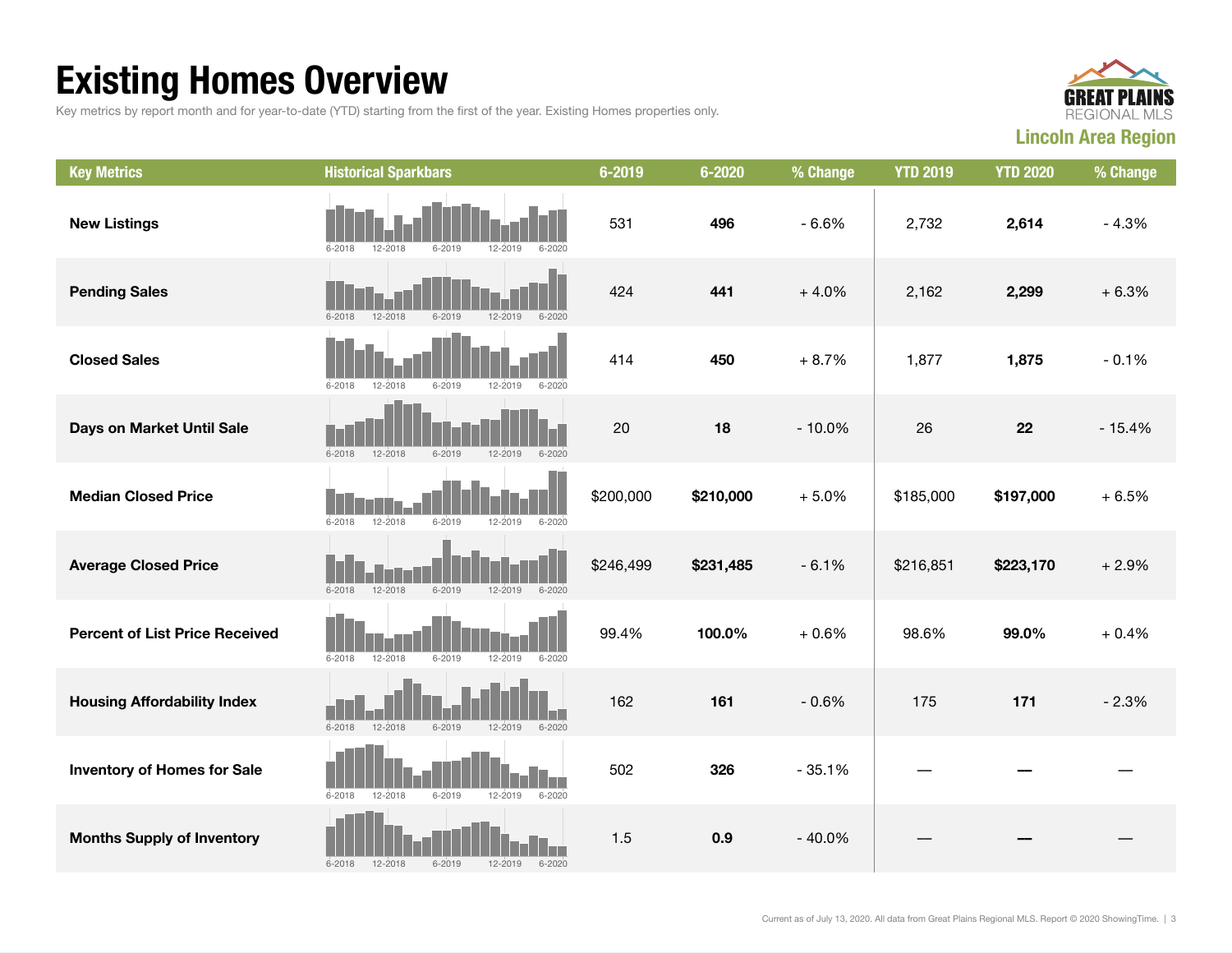## Existing Homes Overview

Key metrics by report month and for year-to-date (YTD) starting from the first of the year. Existing Homes properties only.



| <b>Key Metrics</b>                    | <b>Historical Sparkbars</b>                                          | 6-2019    | $6 - 2020$ | % Change | <b>YTD 2019</b> | <b>YTD 2020</b> | % Change |
|---------------------------------------|----------------------------------------------------------------------|-----------|------------|----------|-----------------|-----------------|----------|
| <b>New Listings</b>                   | $6 - 2018$<br>12-2018<br>6-2019<br>12-2019<br>$6 - 2020$             | 531       | 496        | $-6.6%$  | 2,732           | 2,614           | $-4.3%$  |
| <b>Pending Sales</b>                  | 12-2018<br>12-2019<br>$6 - 2018$<br>$6 - 2019$<br>$6 - 2020$         | 424       | 441        | $+4.0%$  | 2,162           | 2,299           | $+6.3%$  |
| <b>Closed Sales</b>                   | $6 - 2018$<br>$6 - 2019$<br>$12 - 2019$<br>$6 - 2020$<br>12-2018     | 414       | 450        | $+8.7%$  | 1,877           | 1,875           | $-0.1%$  |
| Days on Market Until Sale             | $6 - 2019$<br>$6 - 2018$<br>12-2018<br>$12 - 2019$<br>$6 - 2020$     | 20        | 18         | $-10.0%$ | 26              | 22              | $-15.4%$ |
| <b>Median Closed Price</b>            | $6 - 2018$<br>12-2018<br>$6 - 2019$<br>$6 - 2020$<br>12-2019         | \$200,000 | \$210,000  | $+5.0%$  | \$185,000       | \$197,000       | $+6.5%$  |
| <b>Average Closed Price</b>           | $6 - 2018$<br>$12 - 2018$<br>$6 - 2019$<br>$12 - 2019$<br>$6 - 2020$ | \$246,499 | \$231,485  | $-6.1%$  | \$216,851       | \$223,170       | $+2.9%$  |
| <b>Percent of List Price Received</b> | $6 - 2018$<br>$12 - 2018$<br>$6 - 2019$<br>$12 - 2019$<br>$6 - 2020$ | 99.4%     | 100.0%     | $+0.6%$  | 98.6%           | 99.0%           | $+0.4%$  |
| <b>Housing Affordability Index</b>    | $6 - 2018$<br>$12 - 2018$<br>12-2019<br>$6 - 2019$<br>$6 - 2020$     | 162       | 161        | $-0.6%$  | 175             | 171             | $-2.3%$  |
| <b>Inventory of Homes for Sale</b>    | $6 - 2018$<br>12-2018<br>$6 - 2019$<br>12-2019<br>$6 - 2020$         | 502       | 326        | $-35.1%$ |                 |                 |          |
| <b>Months Supply of Inventory</b>     | 12-2018<br>$6 - 2019$<br>12-2019<br>$6 - 2018$<br>$6 - 2020$         | 1.5       | 0.9        | $-40.0%$ |                 |                 |          |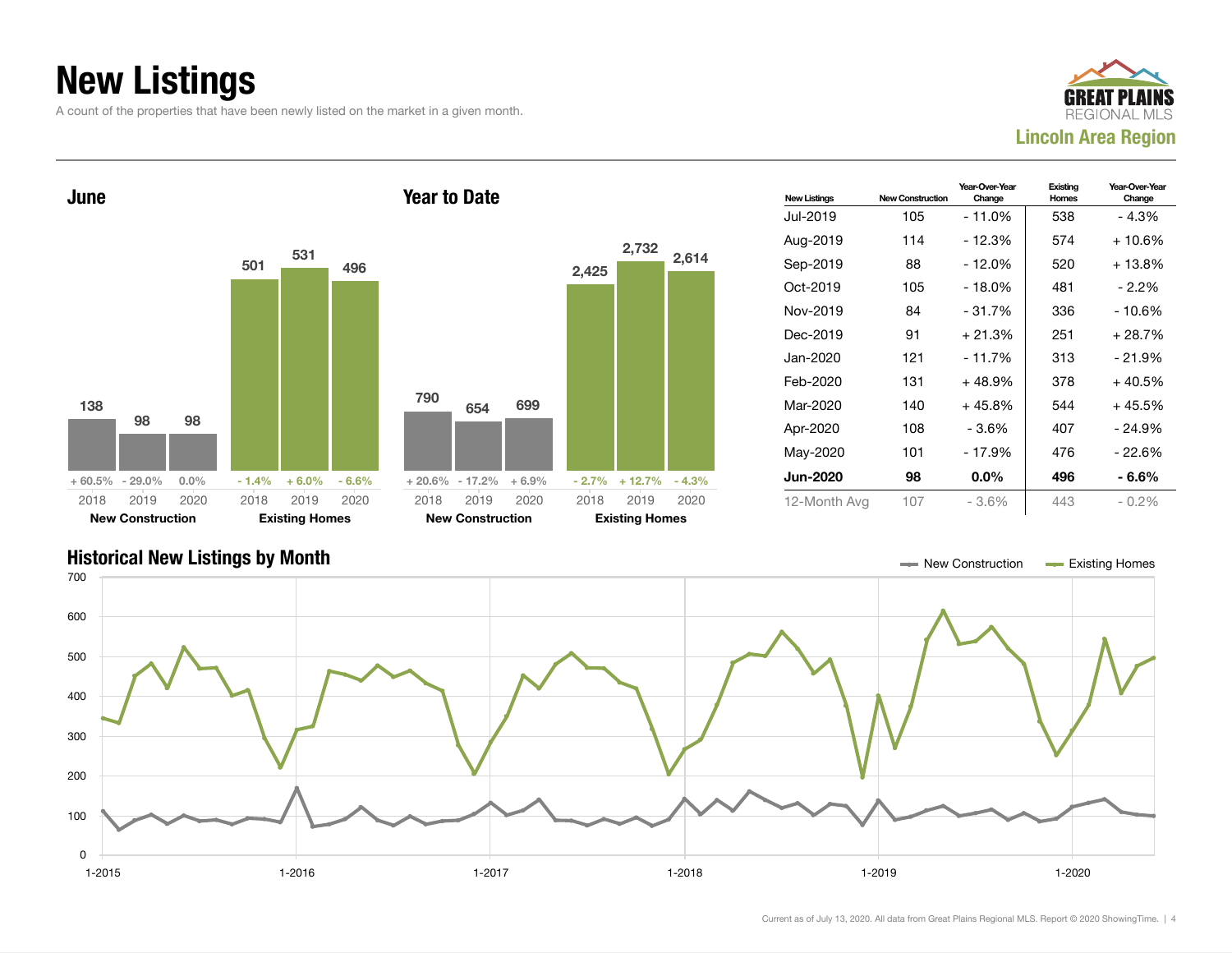## New Listings

A count of the properties that have been newly listed on the market in a given month.







Current as of July 13, 2020. All data from Great Plains Regional MLS. Report © 2020 ShowingTime. | 4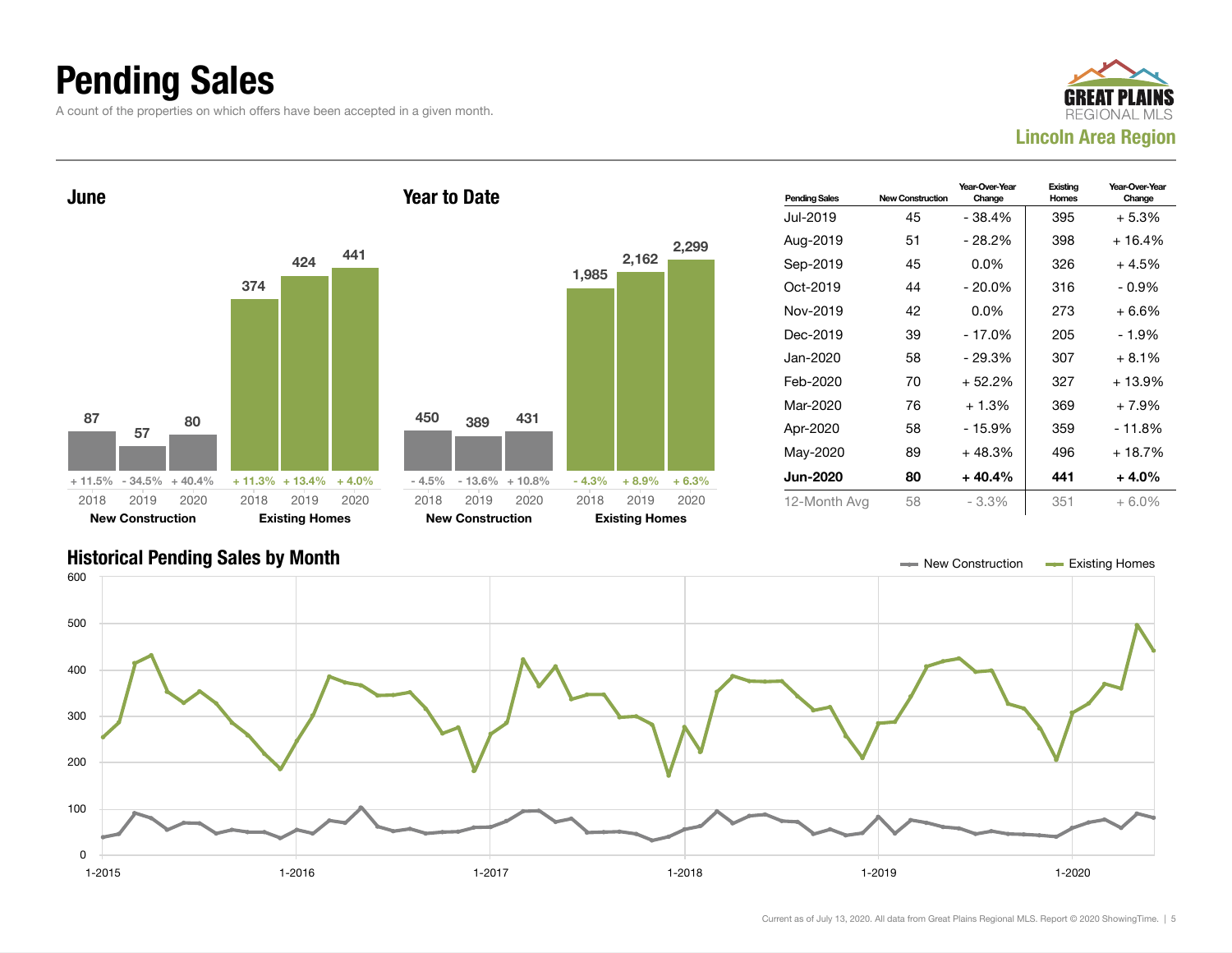### Pending Sales

A count of the properties on which offers have been accepted in a given month.





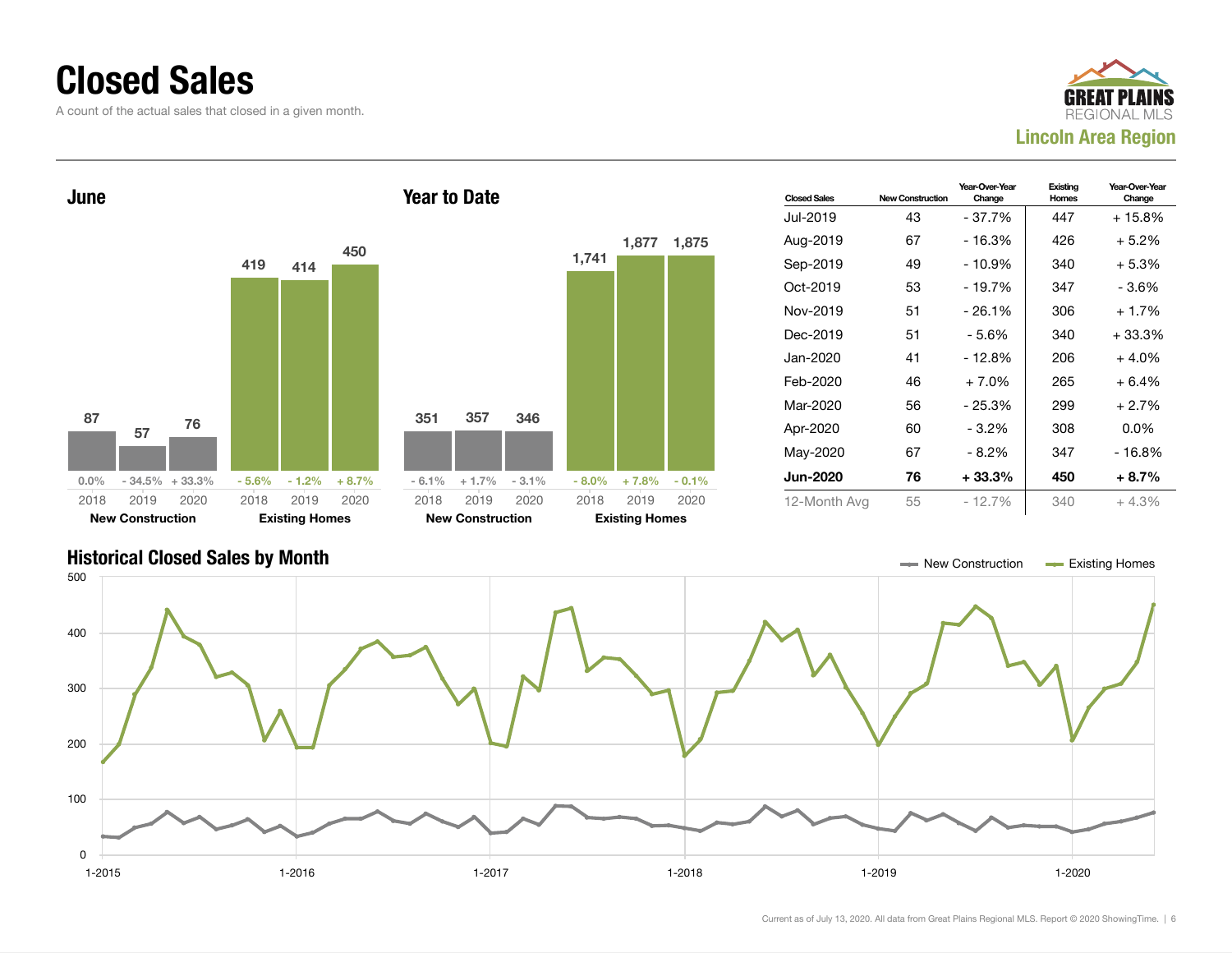#### Closed Sales

A count of the actual sales that closed in a given month.





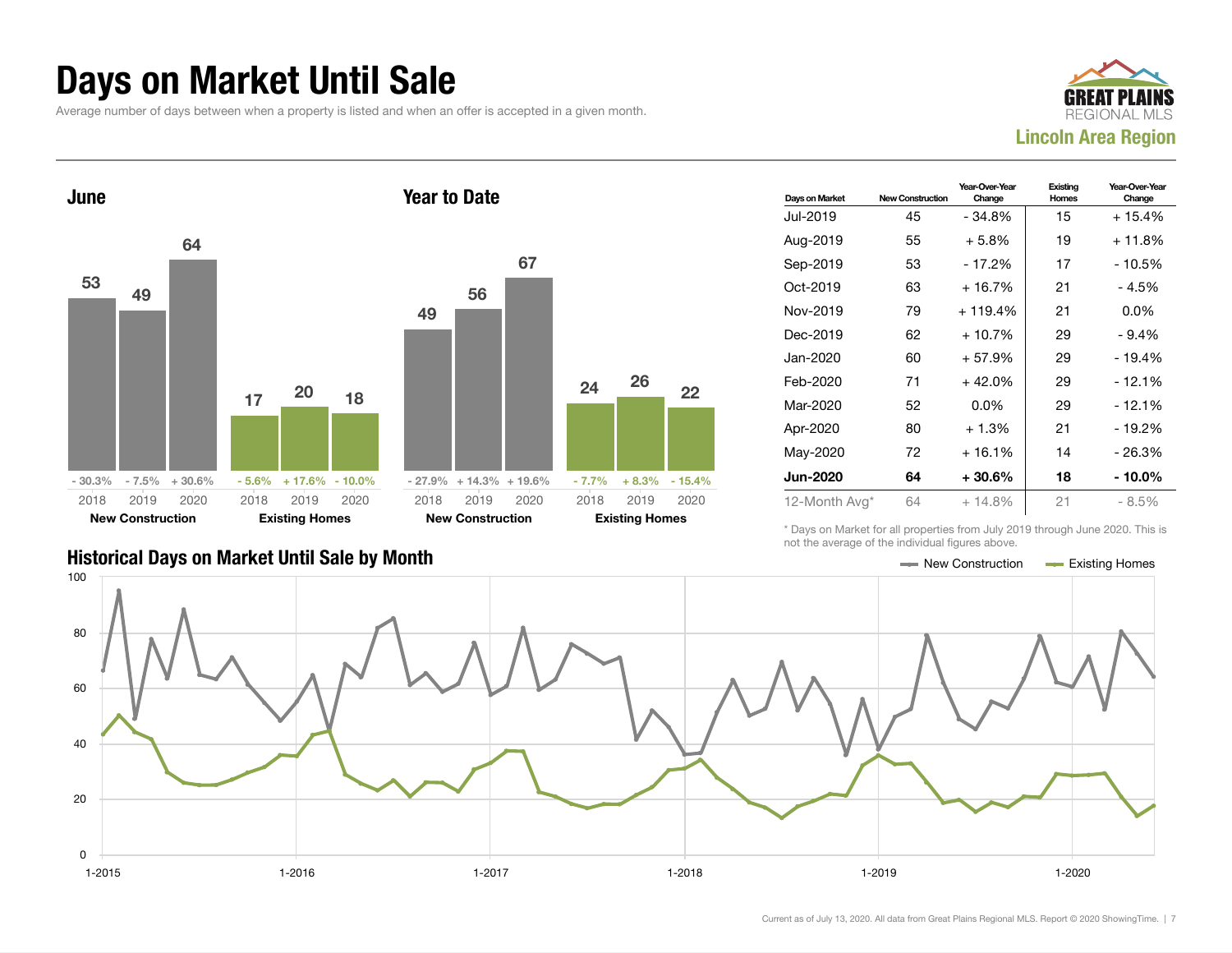#### Days on Market Until Sale

Average number of days between when a property is listed and when an offer is accepted in a given month.





| Days on Market  | <b>New Construction</b> | Year-Over-Year<br>Change | Existing<br>Homes | Year-Over-Year<br>Change |
|-----------------|-------------------------|--------------------------|-------------------|--------------------------|
| Jul-2019        | 45                      | $-34.8%$                 | 15                | $+15.4%$                 |
| Aug-2019        | 55                      | $+5.8\%$                 | 19                | + 11.8%                  |
| Sep-2019        | 53                      | $-17.2%$                 | 17                | - 10.5%                  |
| Oct-2019        | 63                      | $+16.7%$                 | 21                | - 4.5%                   |
| Nov-2019        | 79                      | $+119.4%$                | 21                | $0.0\%$                  |
| Dec-2019        | 62                      | $+10.7%$                 | 29                | $-9.4%$                  |
| Jan-2020        | 60                      | $+57.9%$                 | 29                | - 19.4%                  |
| Feb-2020        | 71                      | $+42.0%$                 | 29                | - 12.1%                  |
| Mar-2020        | 52                      | $0.0\%$                  | 29                | - 12.1%                  |
| Apr-2020        | 80                      | $+1.3%$                  | 21                | - 19.2%                  |
| May-2020        | 72                      | $+16.1%$                 | 14                | - 26.3%                  |
| <b>Jun-2020</b> | 64                      | $+30.6%$                 | 18                | - 10.0%                  |
| 12-Month Avg*   | 64                      | $+14.8%$                 | 21                | - 8.5%                   |

\* Days on Market for all properties from July 2019 through June 2020. This is not the average of the individual figures above.

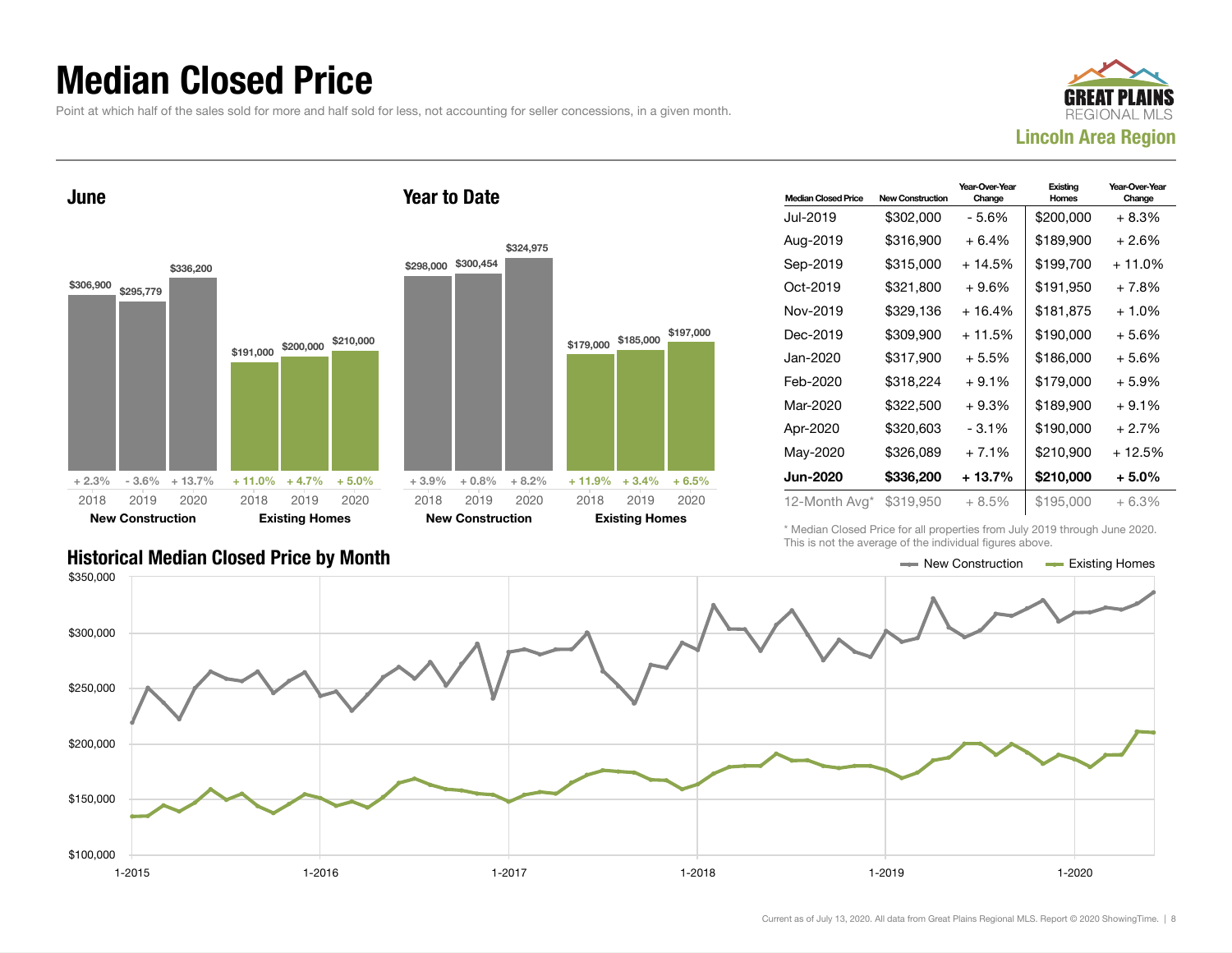### Median Closed Price

Point at which half of the sales sold for more and half sold for less, not accounting for seller concessions, in a given month.





| <b>Median Closed Price</b> | <b>New Construction</b> | Year-Over-Year<br>Change | Existina<br>Homes | Year-Over-Year<br>Change |
|----------------------------|-------------------------|--------------------------|-------------------|--------------------------|
| Jul-2019                   | \$302,000               | - 5.6%                   | \$200,000         | + 8.3%                   |
| Aug-2019                   | \$316,900               | + 6.4%                   | \$189,900         | + 2.6%                   |
| Sep-2019                   | \$315,000               | + 14.5%                  | \$199,700         | + 11.0%                  |
| Oct-2019                   | \$321,800               | $+9.6\%$                 | \$191,950         | + 7.8%                   |
| Nov-2019                   | \$329,136               | $+16.4%$                 | \$181,875         | $+1.0\%$                 |
| Dec-2019                   | \$309,900               | $+11.5%$                 | \$190,000         | + 5.6%                   |
| Jan-2020                   | \$317,900               | + 5.5%                   | \$186,000         | + 5.6%                   |
| Feb-2020                   | \$318,224               | $+9.1%$                  | \$179,000         | + 5.9%                   |
| Mar-2020                   | \$322,500               | $+9.3%$                  | \$189,900         | $+9.1\%$                 |
| Apr-2020                   | \$320,603               | $-3.1%$                  | \$190,000         | + 2.7%                   |
| May-2020                   | \$326,089               | $+7.1%$                  | \$210,900         | + 12.5%                  |
| Jun-2020                   | \$336,200               | + 13.7%                  | \$210,000         | + 5.0%                   |
| 12-Month Avg*              | \$319,950               | + 8.5%                   | \$195,000         | $+6.3%$                  |

\* Median Closed Price for all properties from July 2019 through June 2020. This is not the average of the individual figures above.



\$197,000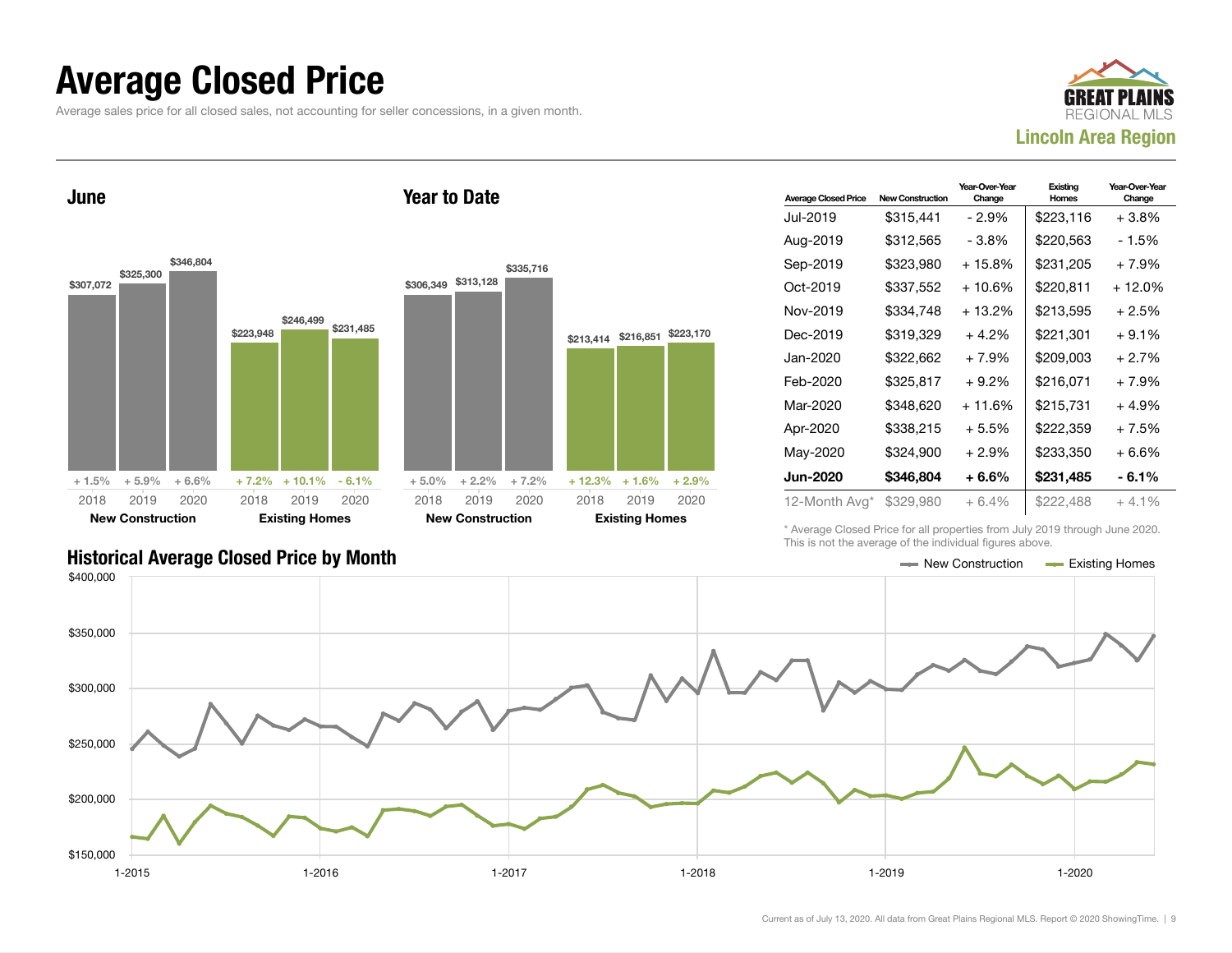#### Average Closed Price

Average sales price for all closed sales, not accounting for seller concessions, in a given month.



June



Year to Date

| <b>Average Closed Price</b> | <b>New Construction</b> | Year-Over-Year<br>Change | Existing<br>Homes | Year-Over-Year<br>Change |
|-----------------------------|-------------------------|--------------------------|-------------------|--------------------------|
| Jul-2019                    | \$315,441               | - 2.9%                   | \$223,116         | +3.8%                    |
| Aug-2019                    | \$312,565               | - 3.8%                   | \$220,563         | - 1.5%                   |
| Sep-2019                    | \$323,980               | + 15.8%                  | \$231.205         | + 7.9%                   |
| Oct-2019                    | \$337,552               | $+10.6%$                 | \$220,811         | + 12.0%                  |
| Nov-2019                    | \$334,748               | $+13.2%$                 | \$213,595         | + 2.5%                   |
| Dec-2019                    | \$319.329               | $+4.2\%$                 | \$221.301         | $+9.1\%$                 |
| Jan-2020                    | \$322,662               | $+7.9%$                  | \$209,003         | + 2.7%                   |
| Feb-2020                    | \$325,817               | $+9.2\%$                 | \$216.071         | + 7.9%                   |
| Mar-2020                    | \$348,620               | $+11.6%$                 | \$215,731         | + 4.9%                   |
| Apr-2020                    | \$338,215               | $+5.5%$                  | \$222,359         | + 7.5%                   |
| May-2020                    | \$324,900               | $+2.9\%$                 | \$233,350         | + 6.6%                   |
| <b>Jun-2020</b>             | \$346,804               | $+6.6\%$                 | \$231,485         | - 6.1%                   |
| 12-Month Avg*               | \$329,980               | $+6.4\%$                 | \$222,488         | $+4.1\%$                 |

\* Average Closed Price for all properties from July 2019 through June 2020. This is not the average of the individual figures above.

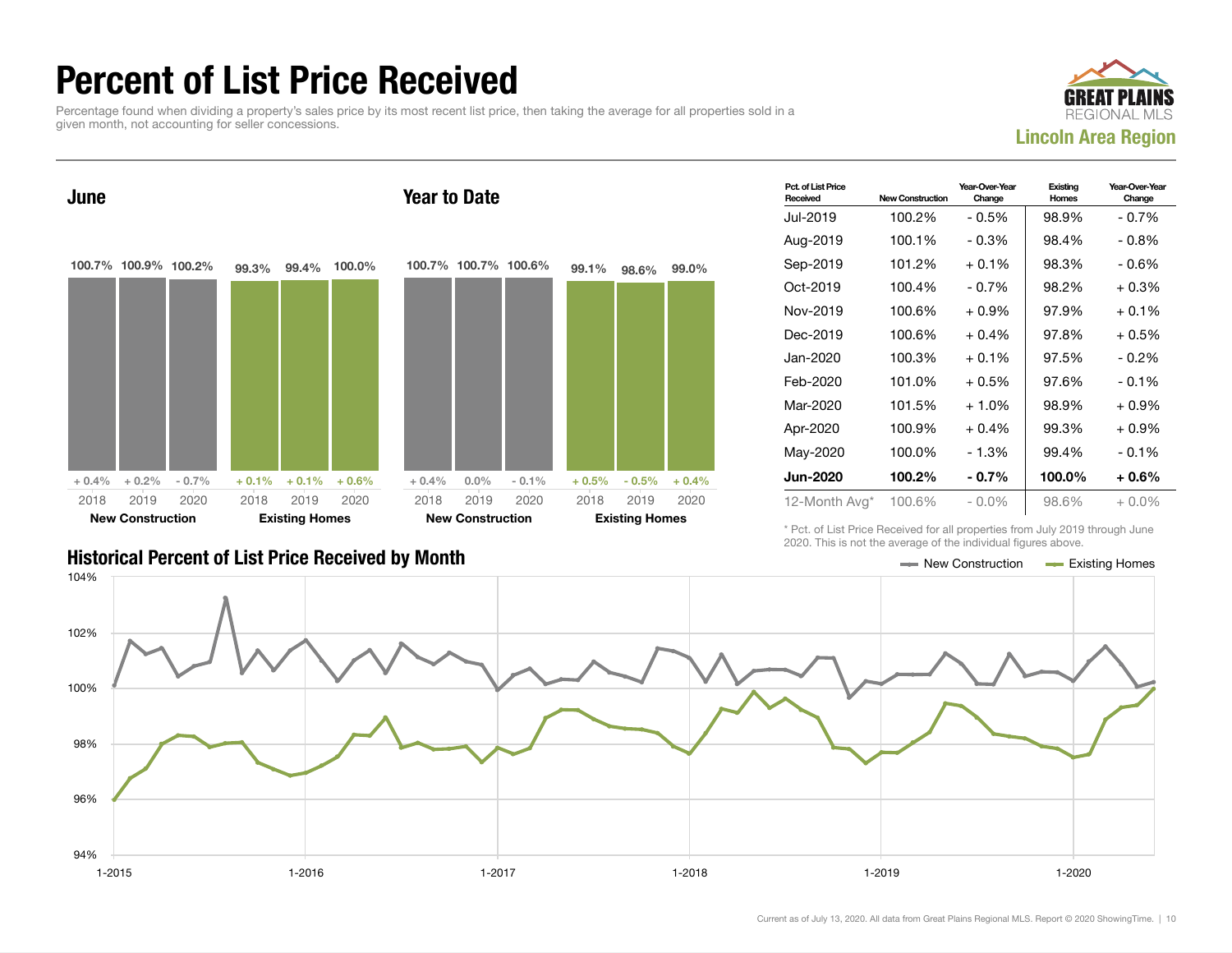### Percent of List Price Received

Percentage found when dividing a property's sales price by its most recent list price, then taking the average for all properties sold in a given month, not accounting for seller concessions.





| Pct. of List Price<br>Received | <b>New Construction</b> | Year-Over-Year<br>Change | Existing<br>Homes | Year-Over-Year<br>Change |
|--------------------------------|-------------------------|--------------------------|-------------------|--------------------------|
| Jul-2019                       | 100.2%                  | $-0.5\%$                 | 98.9%             | $-0.7\%$                 |
| Aug-2019                       | 100.1%                  | $-0.3%$                  | 98.4%             | $-0.8\%$                 |
| Sep-2019                       | 101.2%                  | $+0.1\%$                 | 98.3%             | - 0.6%                   |
| Oct-2019                       | 100.4%                  | $-0.7\%$                 | 98.2%             | $+0.3%$                  |
| Nov-2019                       | 100.6%                  | $+0.9\%$                 | 97.9%             | $+0.1\%$                 |
| Dec-2019                       | 100.6%                  | $+0.4%$                  | 97.8%             | $+0.5%$                  |
| Jan-2020                       | 100.3%                  | $+0.1%$                  | 97.5%             | $-0.2\%$                 |
| Feb-2020                       | 101.0%                  | $+0.5%$                  | 97.6%             | $-0.1%$                  |
| Mar-2020                       | 101.5%                  | $+1.0\%$                 | 98.9%             | $+0.9\%$                 |
| Apr-2020                       | 100.9%                  | $+0.4%$                  | 99.3%             | $+0.9%$                  |
| May-2020                       | 100.0%                  | - 1.3%                   | 99.4%             | $-0.1%$                  |
| <b>Jun-2020</b>                | 100.2%                  | $-0.7\%$                 | 100.0%            | $+0.6\%$                 |
| 12-Month Avg*                  | 100.6%                  | - 0.0%                   | 98.6%             | $+0.0\%$                 |

\* Pct. of List Price Received for all properties from July 2019 through June 2020. This is not the average of the individual figures above.

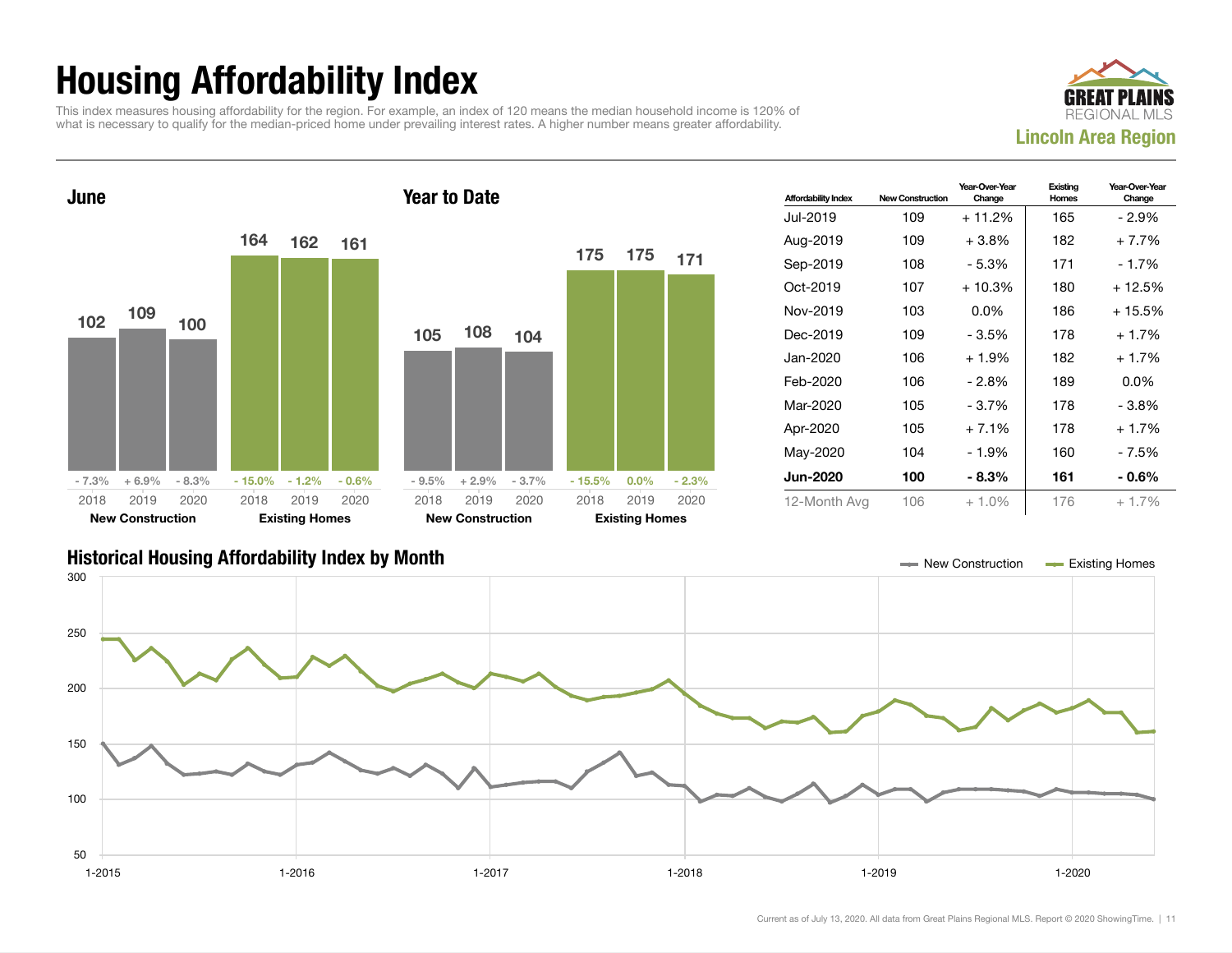## Housing Affordability Index

This index measures housing affordability for the region. For example, an index of 120 means the median household income is 120% of what is necessary to qualify for the median-priced home under prevailing interest rates. A higher number means greater affordability.





| <b>Affordability Index</b> | <b>New Construction</b> | Year-Over-Year<br>Change | Existing<br>Homes | Year-Over-Year<br>Change |
|----------------------------|-------------------------|--------------------------|-------------------|--------------------------|
| Jul-2019                   | 109                     | $+11.2%$                 | 165               | - 2.9%                   |
| Aug-2019                   | 109                     | $+3.8\%$                 | 182               | $+7.7%$                  |
| Sep-2019                   | 108                     | - 5.3%                   | 171               | - 1.7%                   |
| Oct-2019                   | 107                     | $+10.3%$                 | 180               | $+12.5%$                 |
| Nov-2019                   | 103                     | $0.0\%$                  | 186               | $+15.5%$                 |
| Dec-2019                   | 109                     | $-3.5%$                  | 178               | $+1.7%$                  |
| Jan-2020                   | 106                     | $+1.9%$                  | 182               | $+1.7%$                  |
| Feb-2020                   | 106                     | - 2.8%                   | 189               | $0.0\%$                  |
| Mar-2020                   | 105                     | - 3.7%                   | 178               | - 3.8%                   |
| Apr-2020                   | 105                     | $+7.1%$                  | 178               | $+1.7%$                  |
| May-2020                   | 104                     | - 1.9%                   | 160               | - 7.5%                   |
| Jun-2020                   | 100                     | $-8.3\%$                 | 161               | $-0.6\%$                 |
| 12-Month Avg               | 106                     | $+1.0%$                  | 176               | $+1.7\%$                 |

#### Historical Housing Affordability Index by Month New Construction Existing Homes

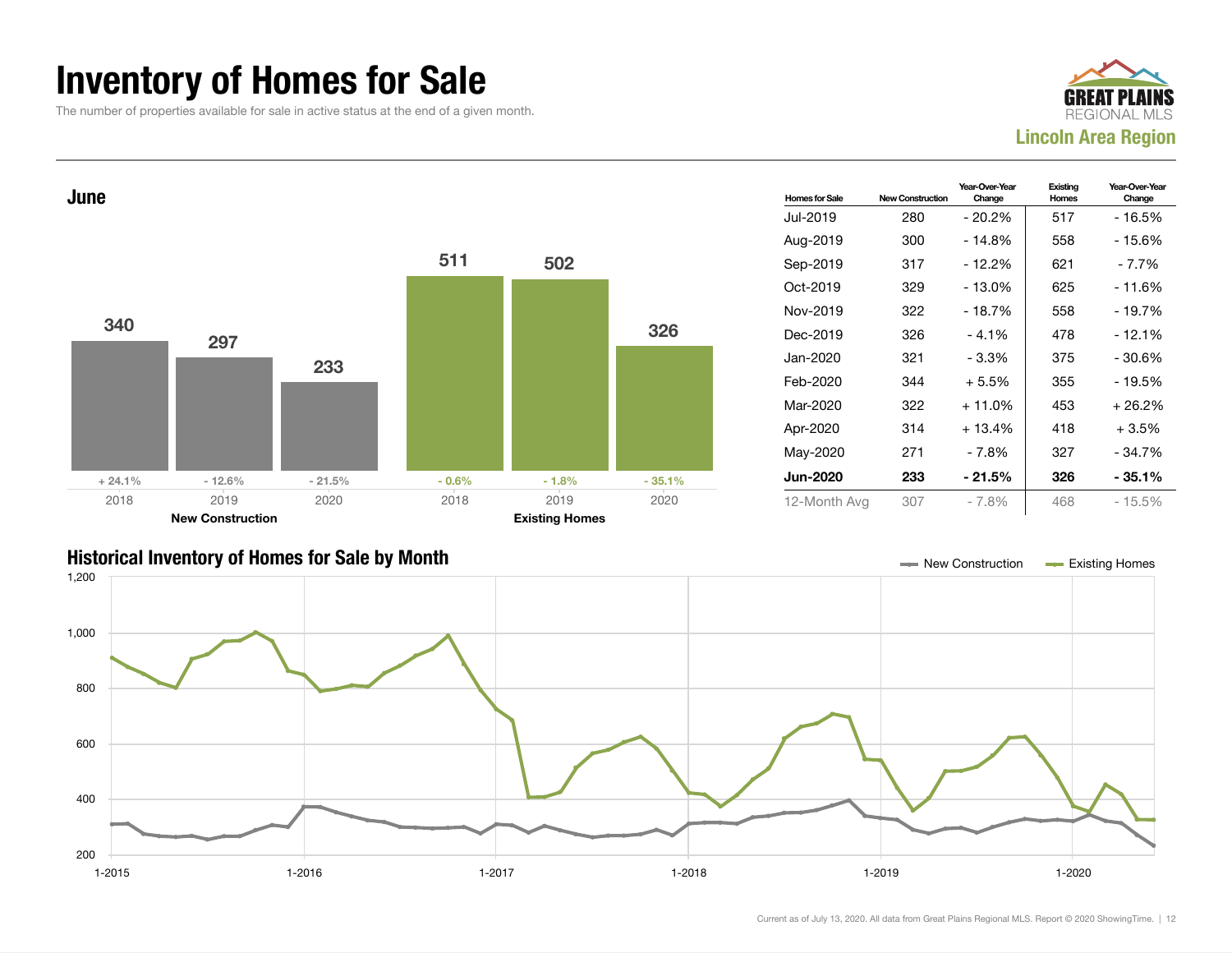### Inventory of Homes for Sale

The number of properties available for sale in active status at the end of a given month.





#### Historical Inventory of Homes for Sale by Month New Construction Existing Homes

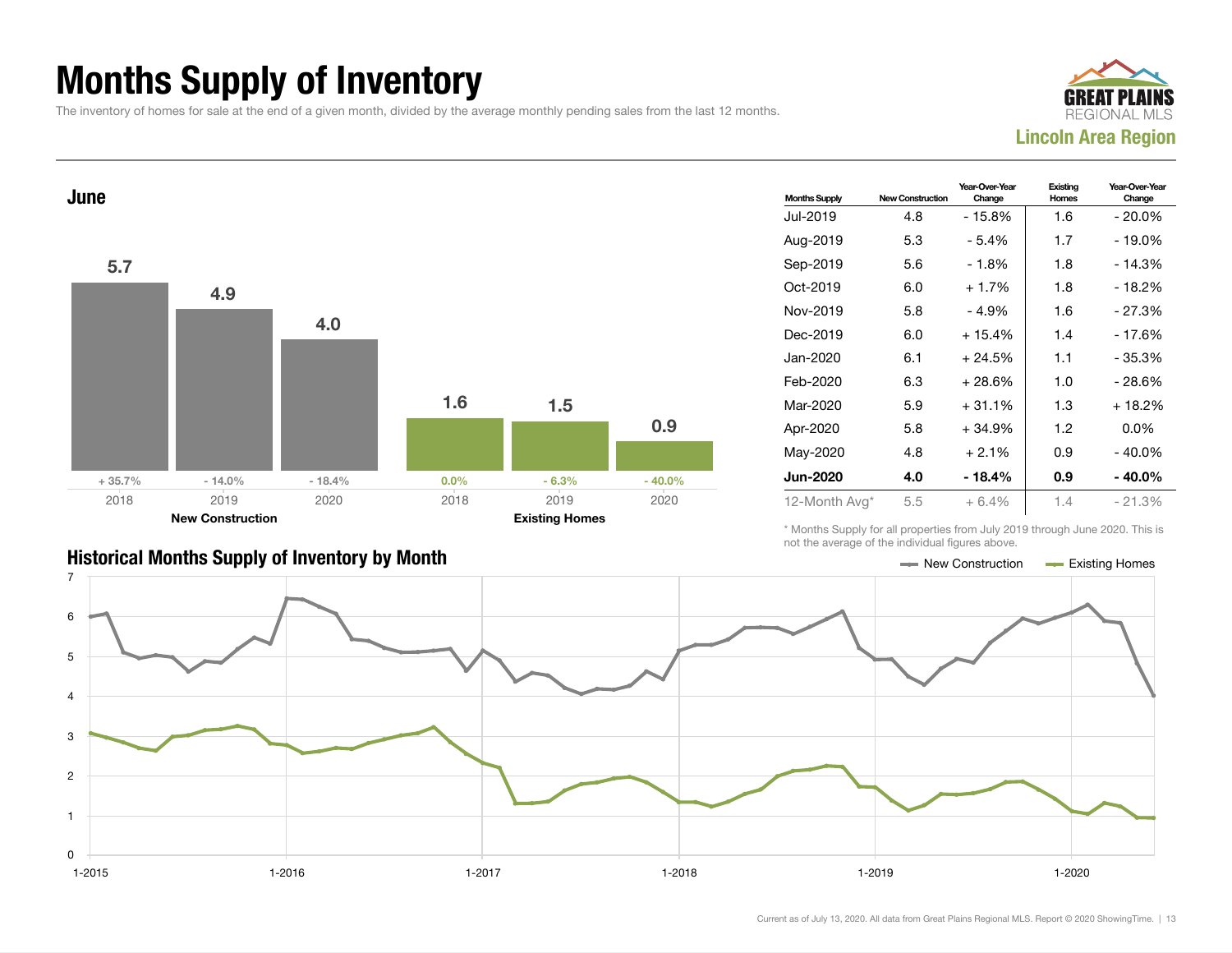## Months Supply of Inventory

The inventory of homes for sale at the end of a given month, divided by the average monthly pending sales from the last 12 months.





| <b>Historical Months Supply of Inventory by Month</b> | New Construction | Existing Homes |
|-------------------------------------------------------|------------------|----------------|

| <b>Months Supply</b> | <b>New Construction</b> | Year-Over-Year<br>Change | Existina<br>Homes | Year-Over-Year<br>Change |
|----------------------|-------------------------|--------------------------|-------------------|--------------------------|
| Jul-2019             | 4.8                     | $-15.8%$                 | 1.6               | $-20.0\%$                |
| Aug-2019             | 5.3                     | - 5.4%                   | 1.7               | - 19.0%                  |
| Sep-2019             | 5.6                     | - 1.8%                   | 1.8               | $-14.3%$                 |
| Oct-2019             | 6.0                     | $+1.7%$                  | 1.8               | $-18.2%$                 |
| Nov-2019             | 5.8                     | - 4.9%                   | 1.6               | - 27.3%                  |
| Dec-2019             | 6.0                     | $+15.4%$                 | 1.4               | - 17.6%                  |
| Jan-2020             | 6.1                     | $+24.5%$                 | 1.1               | - 35.3%                  |
| Feb-2020             | 6.3                     | $+28.6%$                 | 1.0               | - 28.6%                  |
| Mar-2020             | 5.9                     | $+31.1%$                 | 1.3               | $+18.2%$                 |
| Apr-2020             | 5.8                     | $+34.9%$                 | 1.2               | $0.0\%$                  |
| May-2020             | 4.8                     | $+2.1%$                  | 0.9               | - 40.0%                  |
| <b>Jun-2020</b>      | 4.0                     | - 18.4%                  | 0.9               | - 40.0%                  |
| 12-Month Avg*        | 5.5                     | $+6.4%$                  | 1.4               | $-21.3%$                 |

\* Months Supply for all properties from July 2019 through June 2020. This is not the average of the individual figures above.